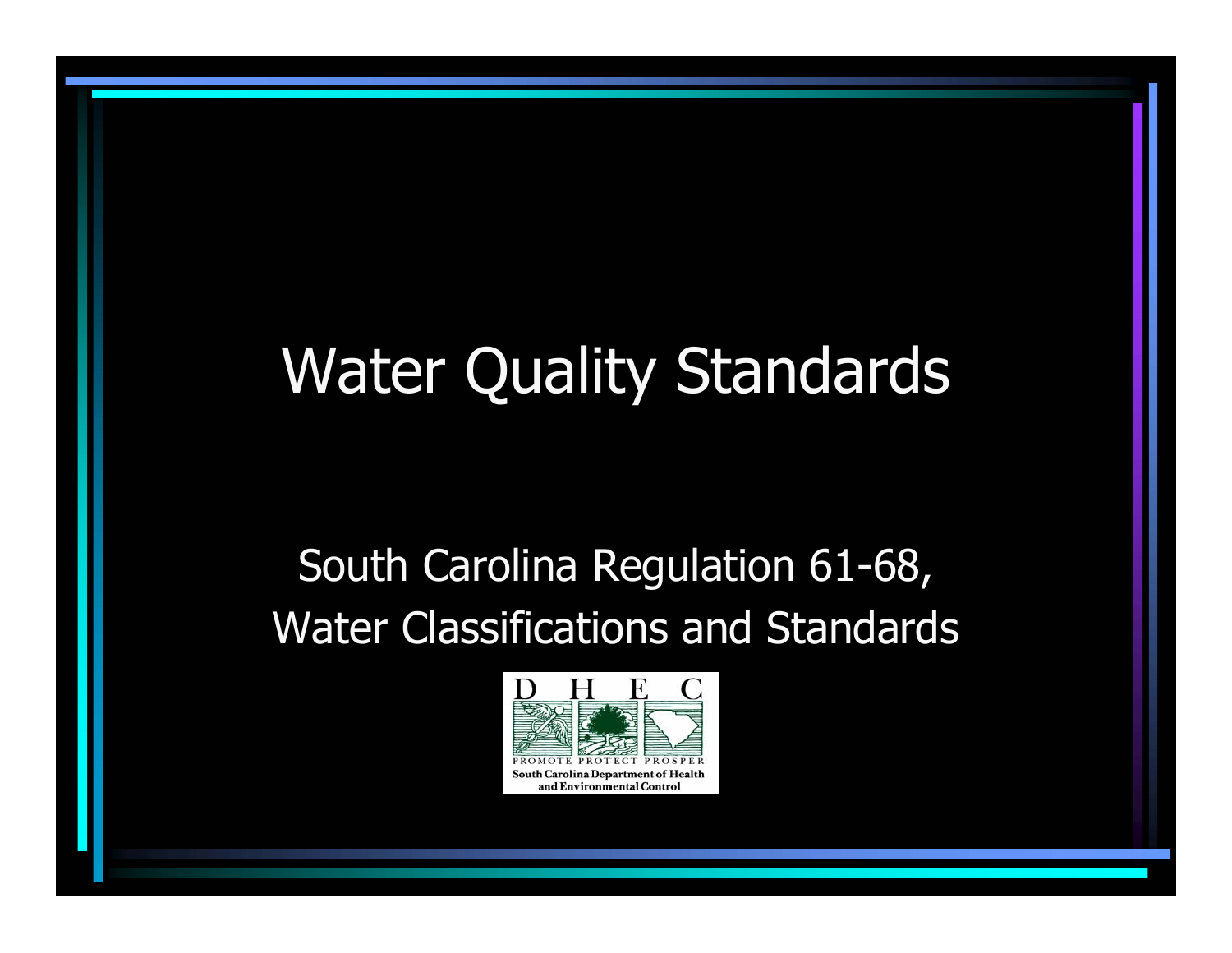# Water Quality Standards

#### South Carolina Regulation 61-68, Water Classifications and Standards

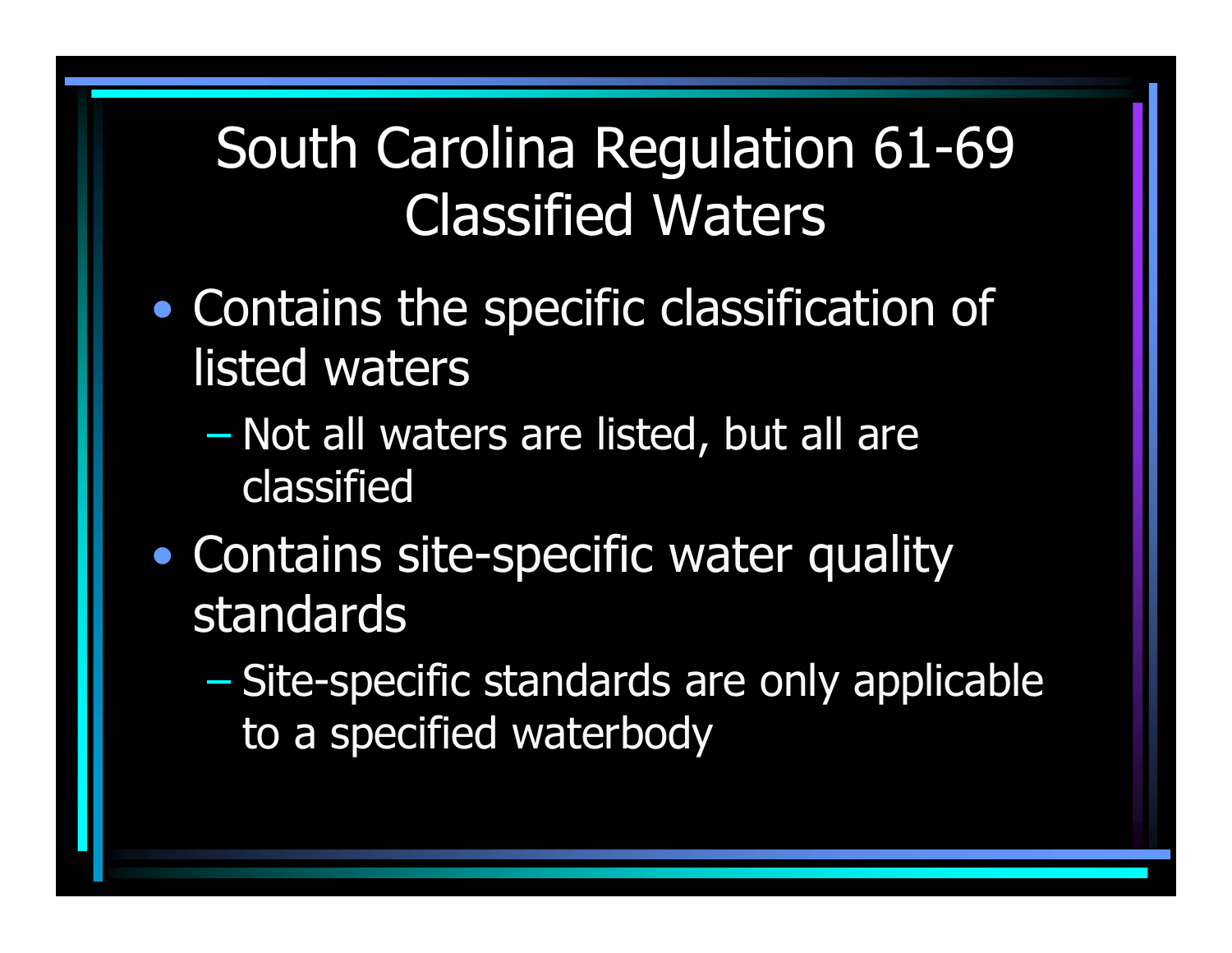#### South Carolina Regulation 61-69 Classified Waters

- • Contains the specific classification of listed waters
	- $\mathcal{L}_{\mathcal{A}}$  , and the set of the set of the set of the set of the set of the set of the set of the set of the set of the set of the set of the set of the set of the set of the set of the set of the set of the set of th – Not all waters are listed, but all are classified
- $\bullet$ • Contains site-specific water quality standards
	- $\mathcal{L}_{\mathcal{A}}$  Site-specific standards are only applicable to a specified waterbody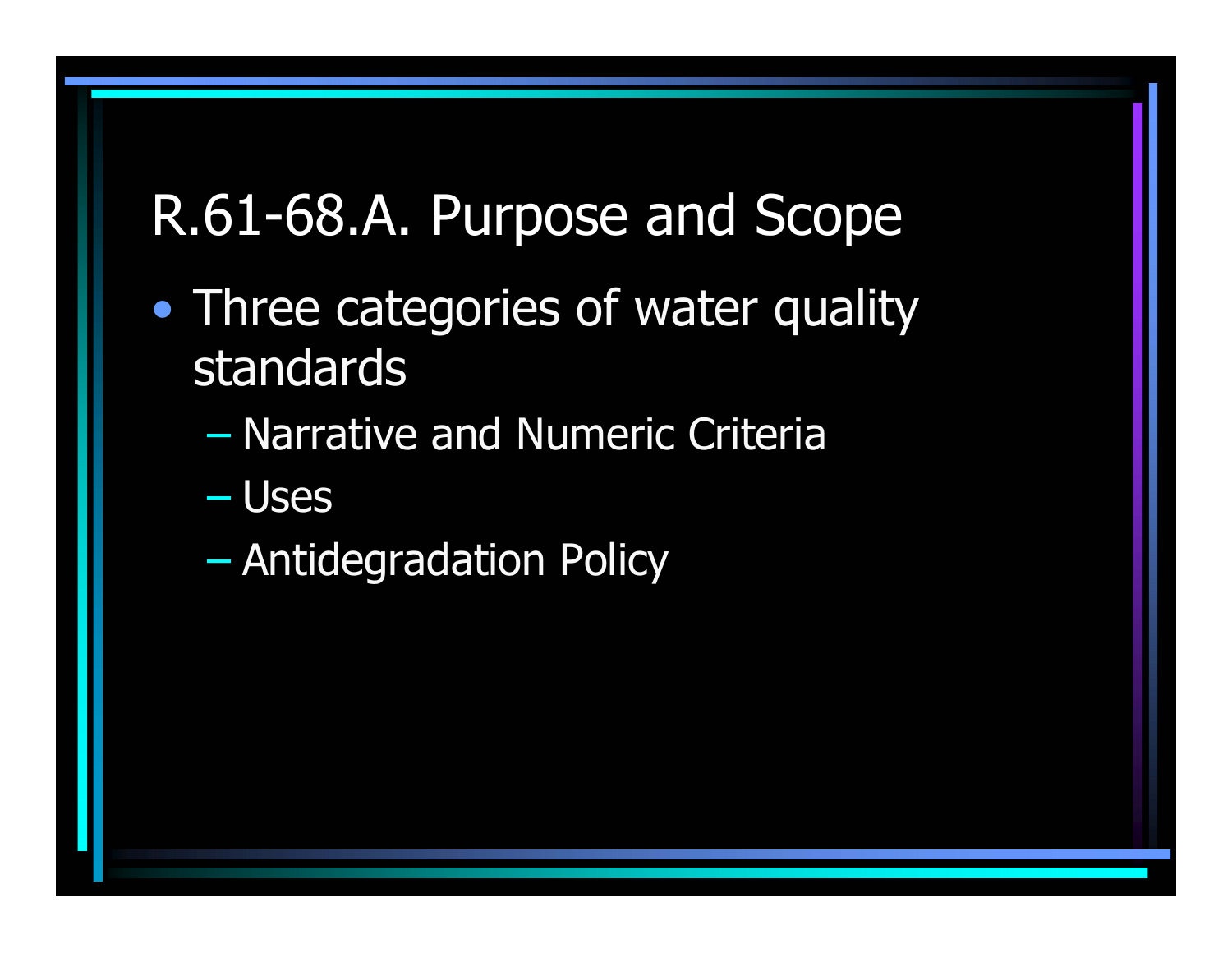# R.61-68.A. Purpose and Scope

- • Three categories of water quality standards
	- $\mathcal{L}_{\mathcal{A}}$  , and the set of the set of the set of the set of the set of the set of the set of the set of the set of the set of the set of the set of the set of the set of the set of the set of the set of the set of th Narrative and Numeric Criteria
	- $\mathcal{L}_{\mathcal{A}}$ Uses
	- $\mathcal{L}_{\mathcal{A}}$ Antidegradation Policy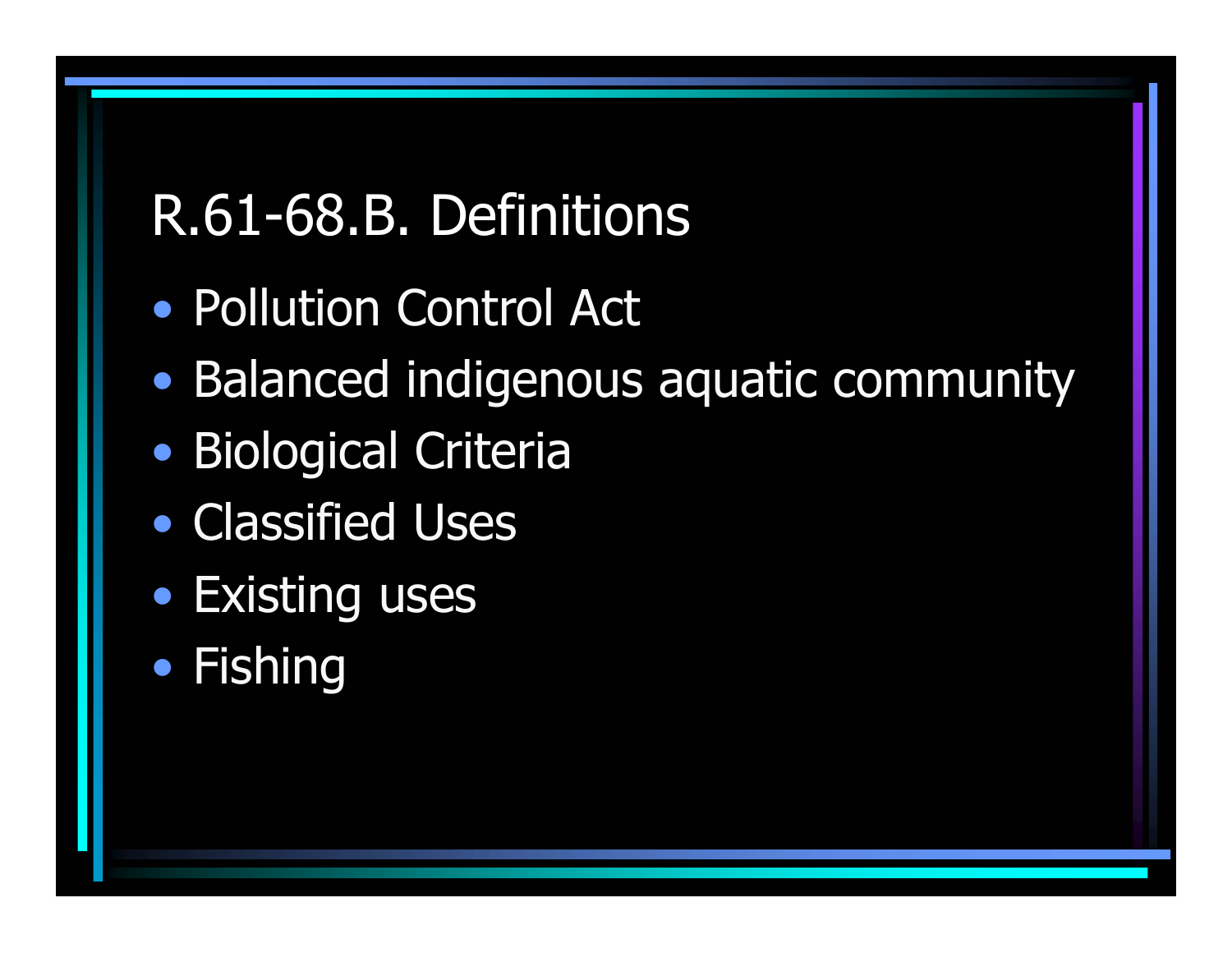# R.61-68.B. Definitions

- Pollution Control Act
- $\bullet$ Balanced indigenous aquatic community
- •Biological Criteria
- Classified Uses
- Existing uses
- •• Fishing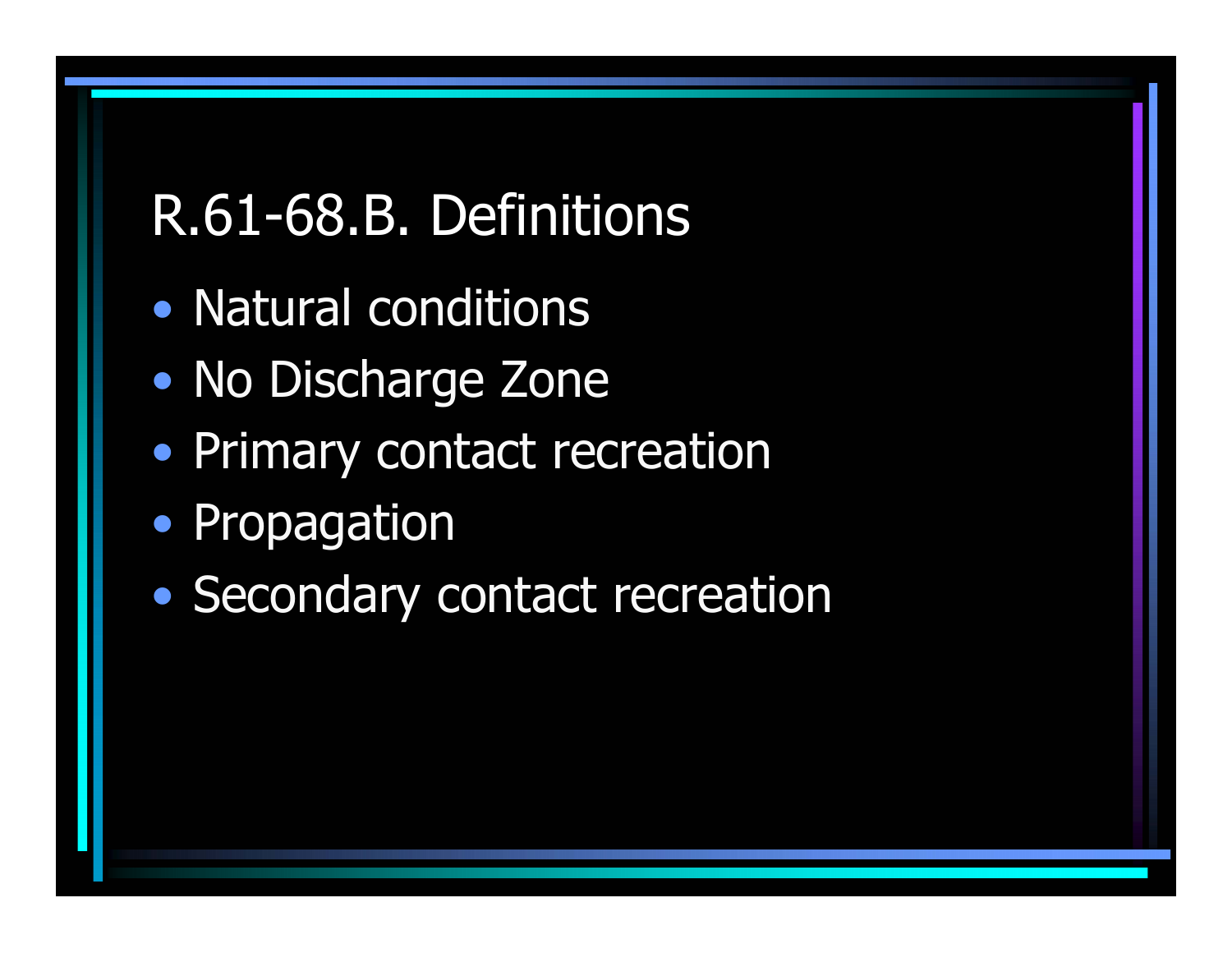# R.61-68.B. Definitions

- Natural conditions
- $\bullet$ • No Discharge Zone
- Primary contact recreation
- Propagation
- $\bullet$ • Secondary contact recreation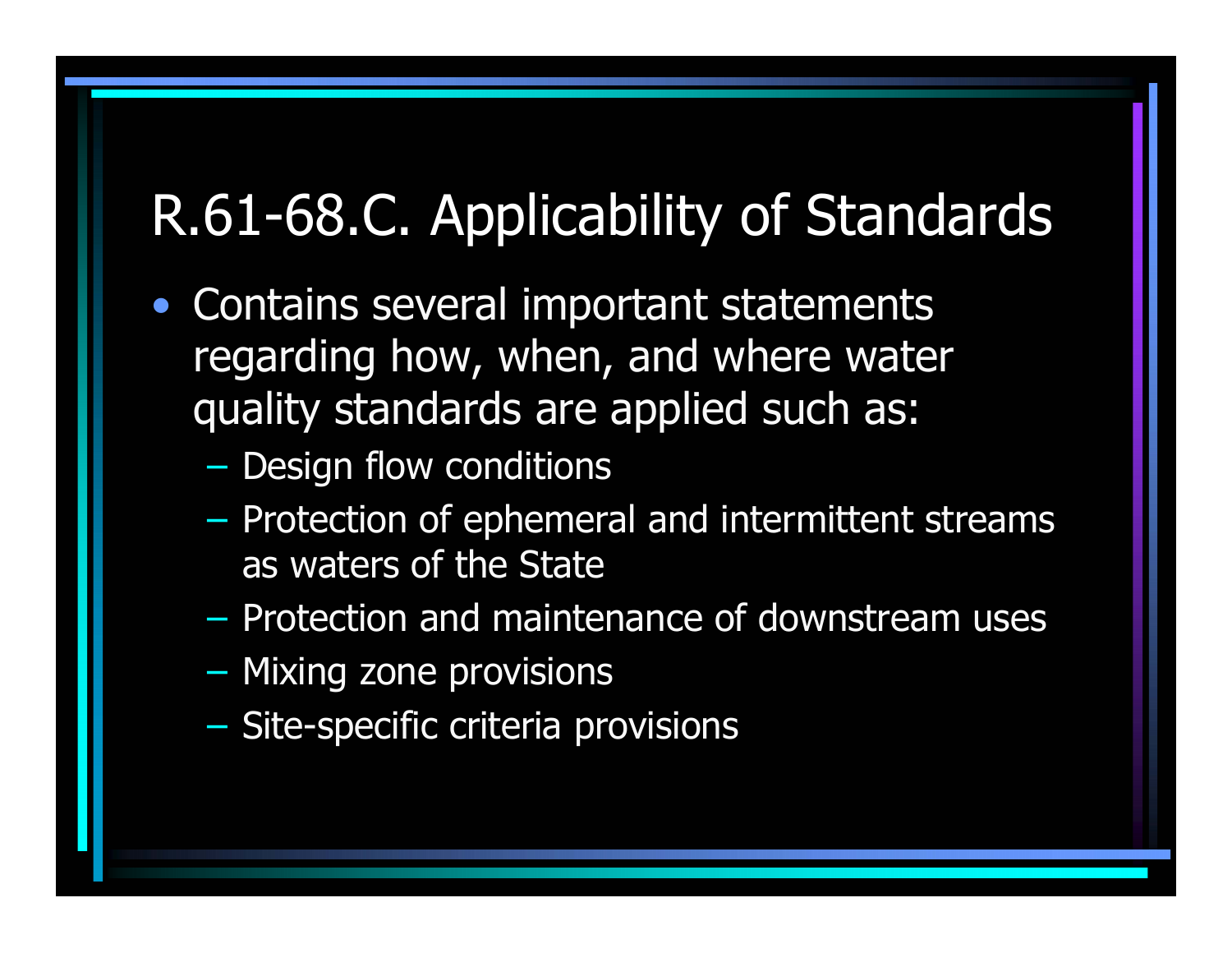# R.61-68.C. Applicability of Standards

- Contains several important statements regarding how, when, and where water quality standards are applied such as:
	- –– Design flow conditions
	- –– Protection of ephemeral and intermittent streams as waters of the State
	- Protection and maintenance of downstream uses
	- Mixing zone provisions
	- Site-specific criteria provisions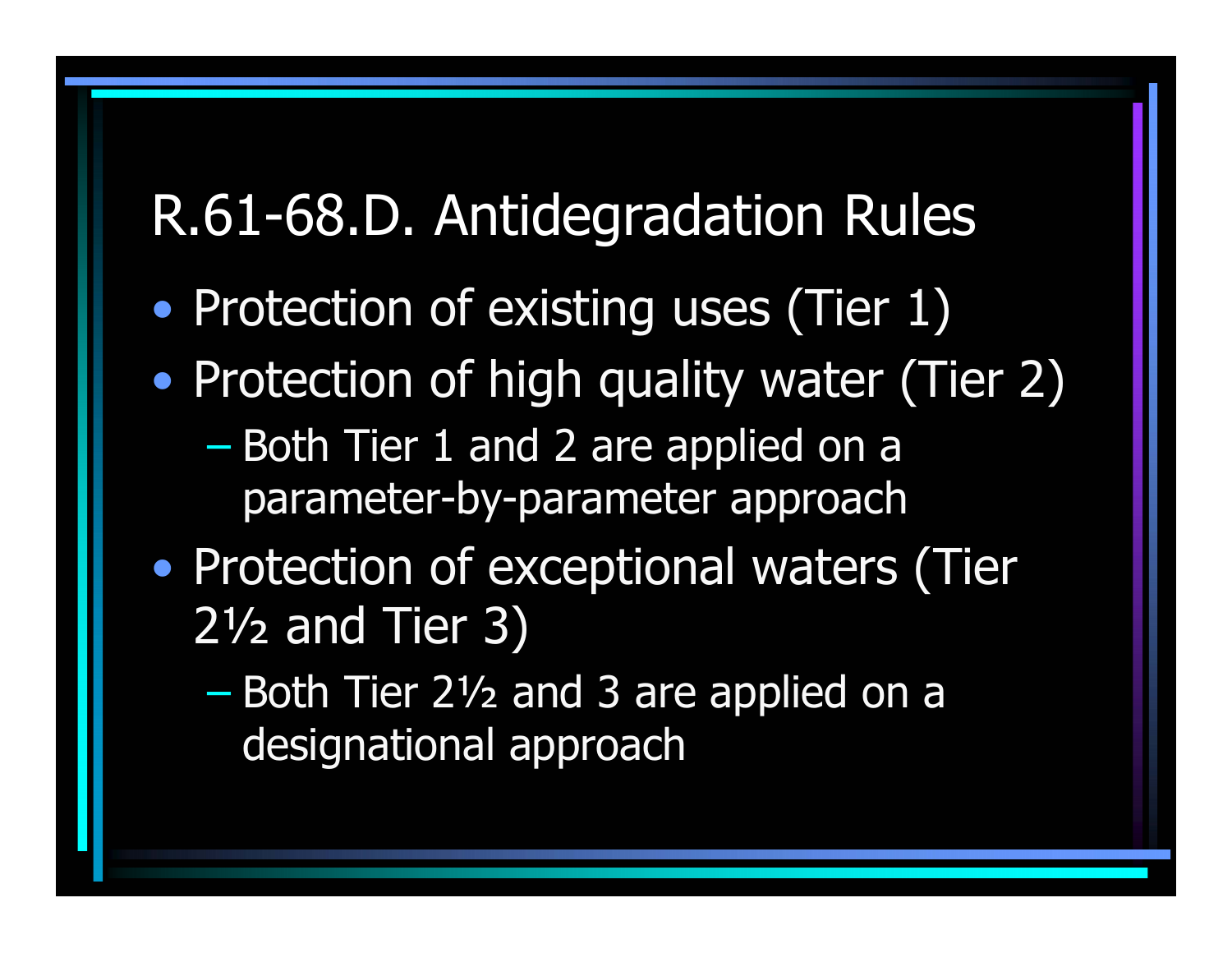#### R.61-68.D. Antidegradation Rules

- •• Protection of existing uses (Tier 1)
- $\bullet$ • Protection of high quality water (Tier 2)
	- $\mathcal{L}_{\mathcal{A}}$ – Both Tier 1 and 2 are applied on a parameter-by-parameter approach
- $\bullet$ • Protection of exceptional waters (Tier 2½ and Tier 3)
	- $\mathcal{L}_{\mathcal{A}}$ – Both Tier 2½ and 3 are applied on a designational approach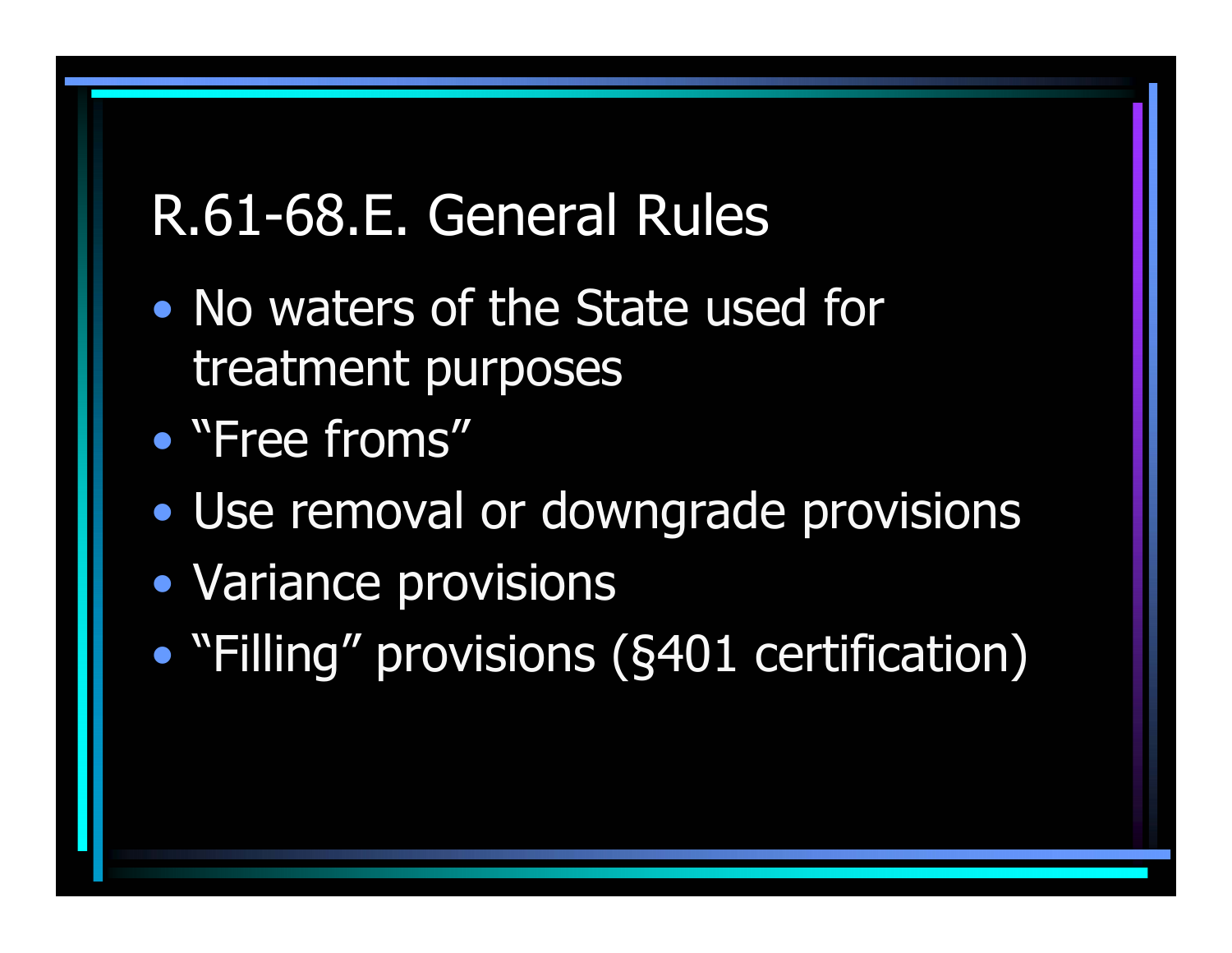#### R.61-68.E. General Rules

- No waters of the State used for treatment purposes
- "Free froms"
- $\bullet$ Use removal or downgrade provisions
- Variance provisions
- •"Filling" provisions (§401 certification)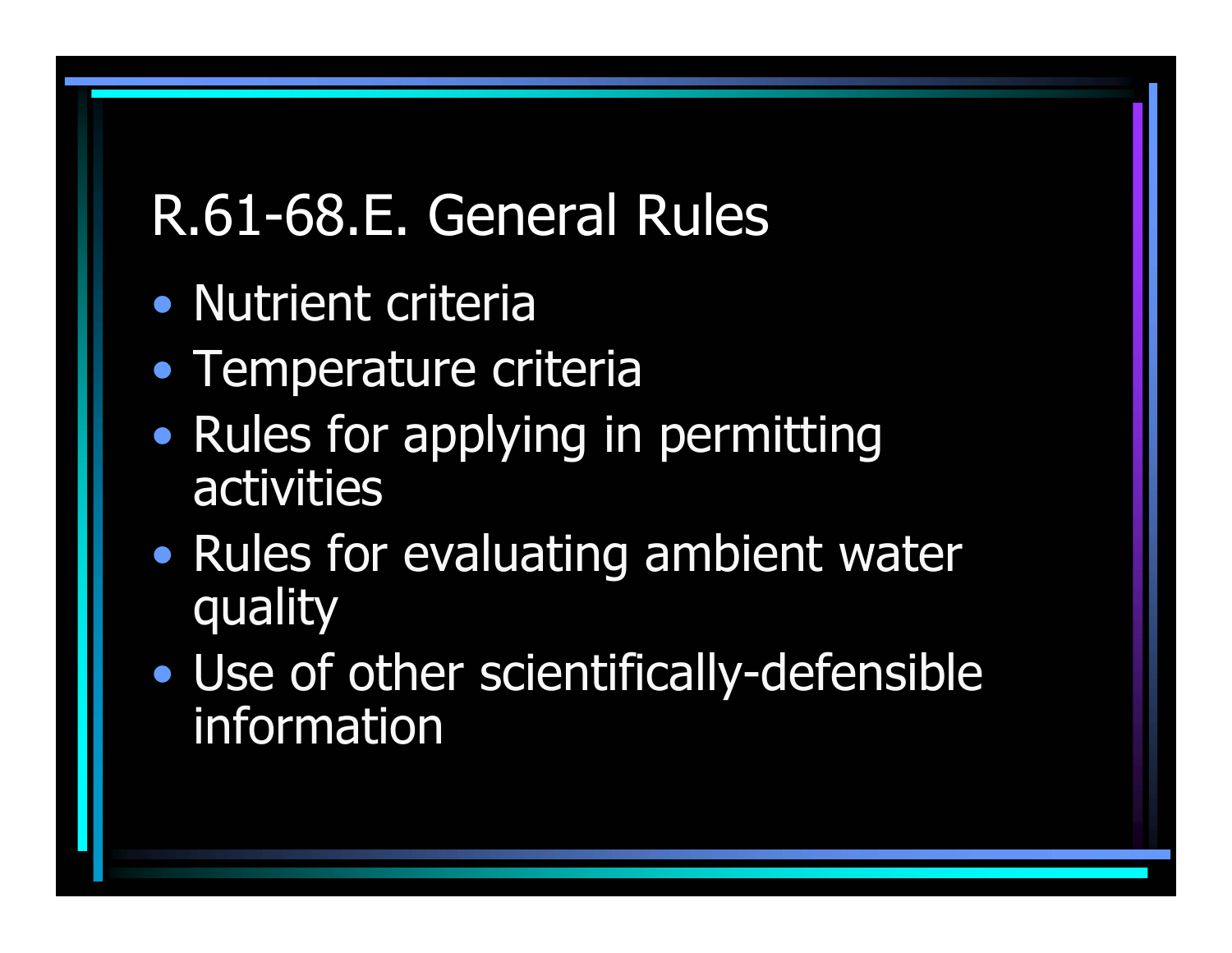# R.61-68.E. General Rules

- Nutrient criteria
- Temperature criteria
- • Rules for applying in permitting activities
- $\bullet$ • Rules for evaluating ambient water quality
- • Use of other scientifically-defensible information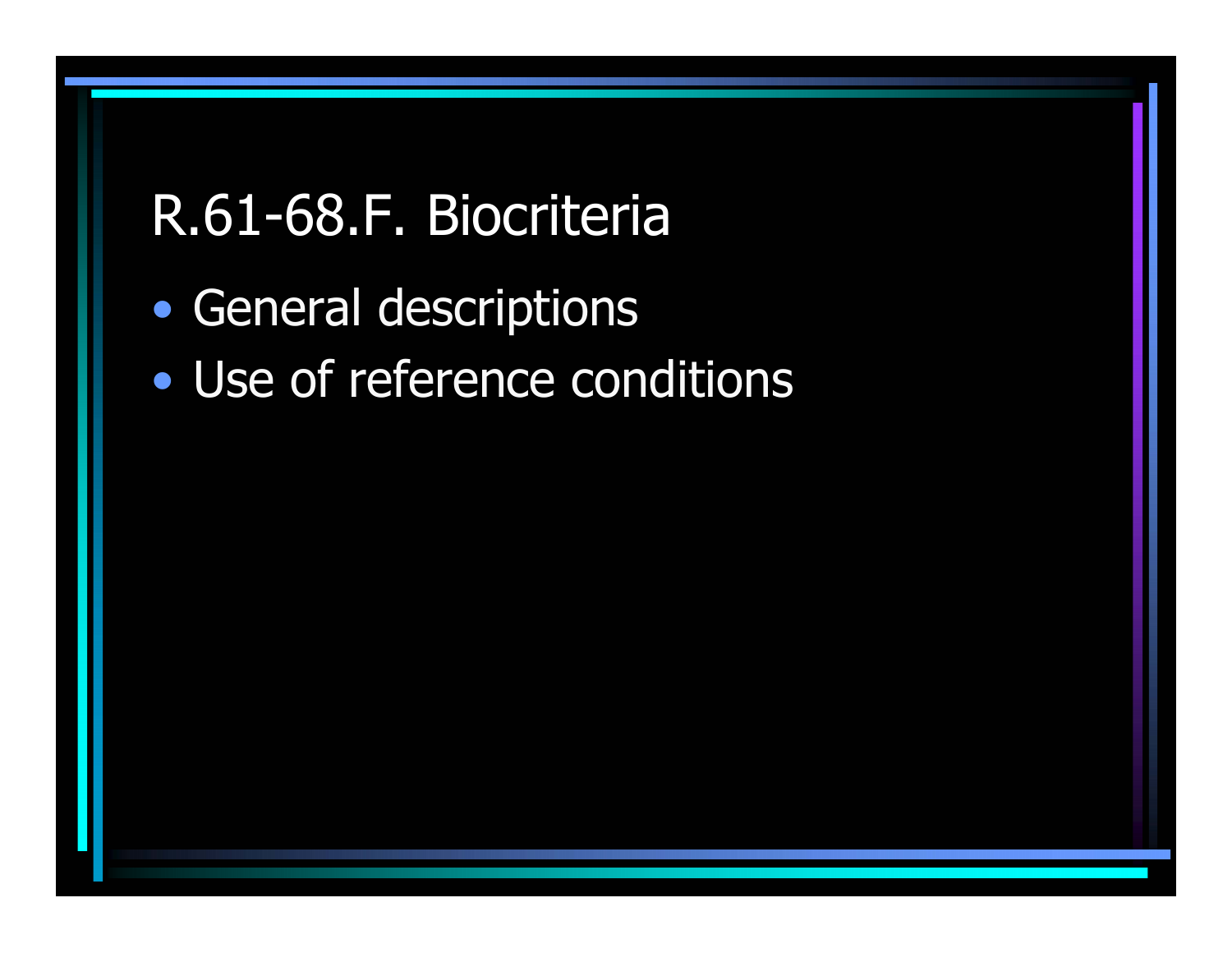#### R.61-68.F. Biocriteria

- •General descriptions
- Use of reference conditions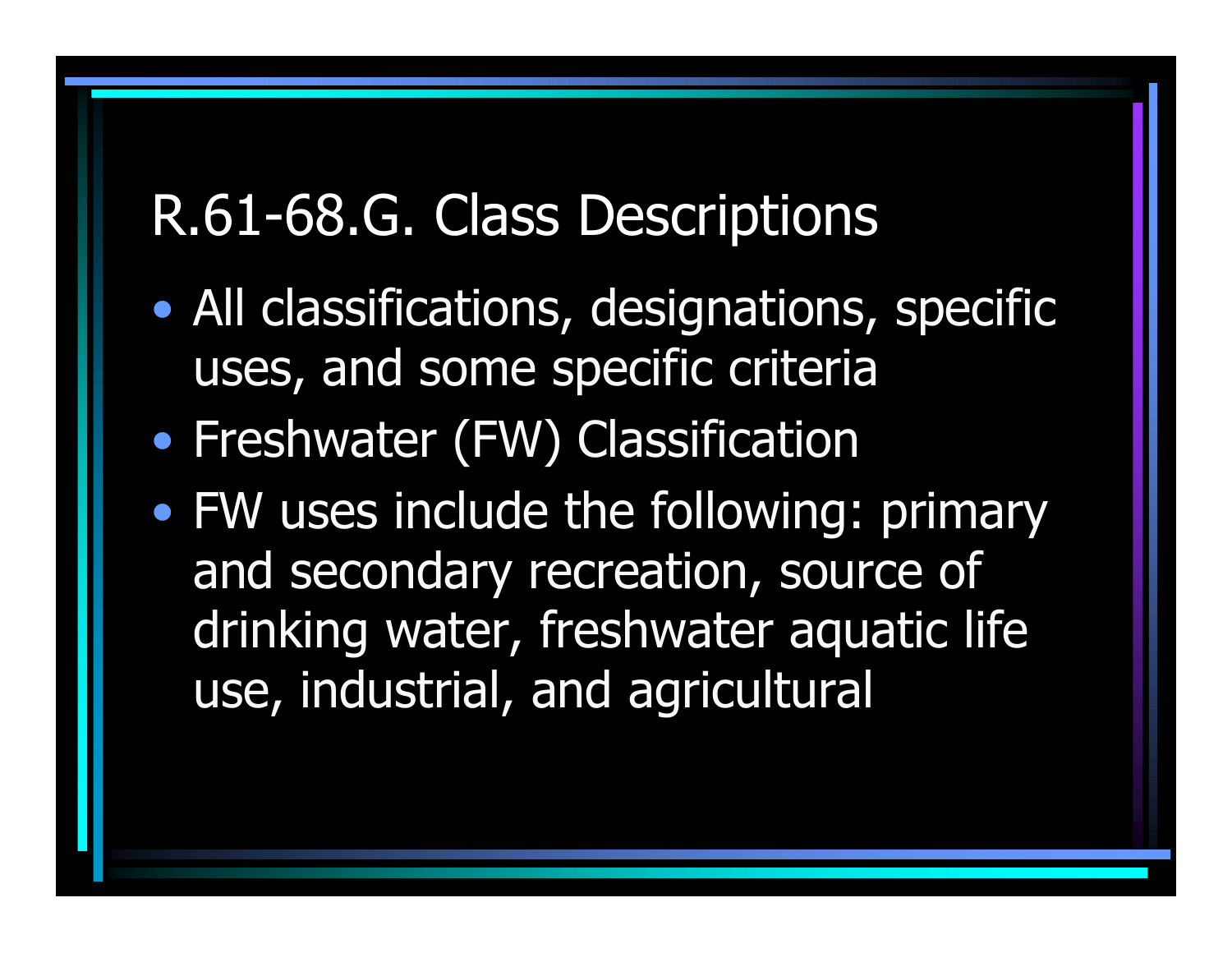- • All classifications, designations, specific uses, and some specific criteria
- •• Freshwater (FW) Classification
- $\bullet$  FW uses include the following: primary and secondary recreation, source of drinking water, freshwater aquatic life use, industrial, and agricultural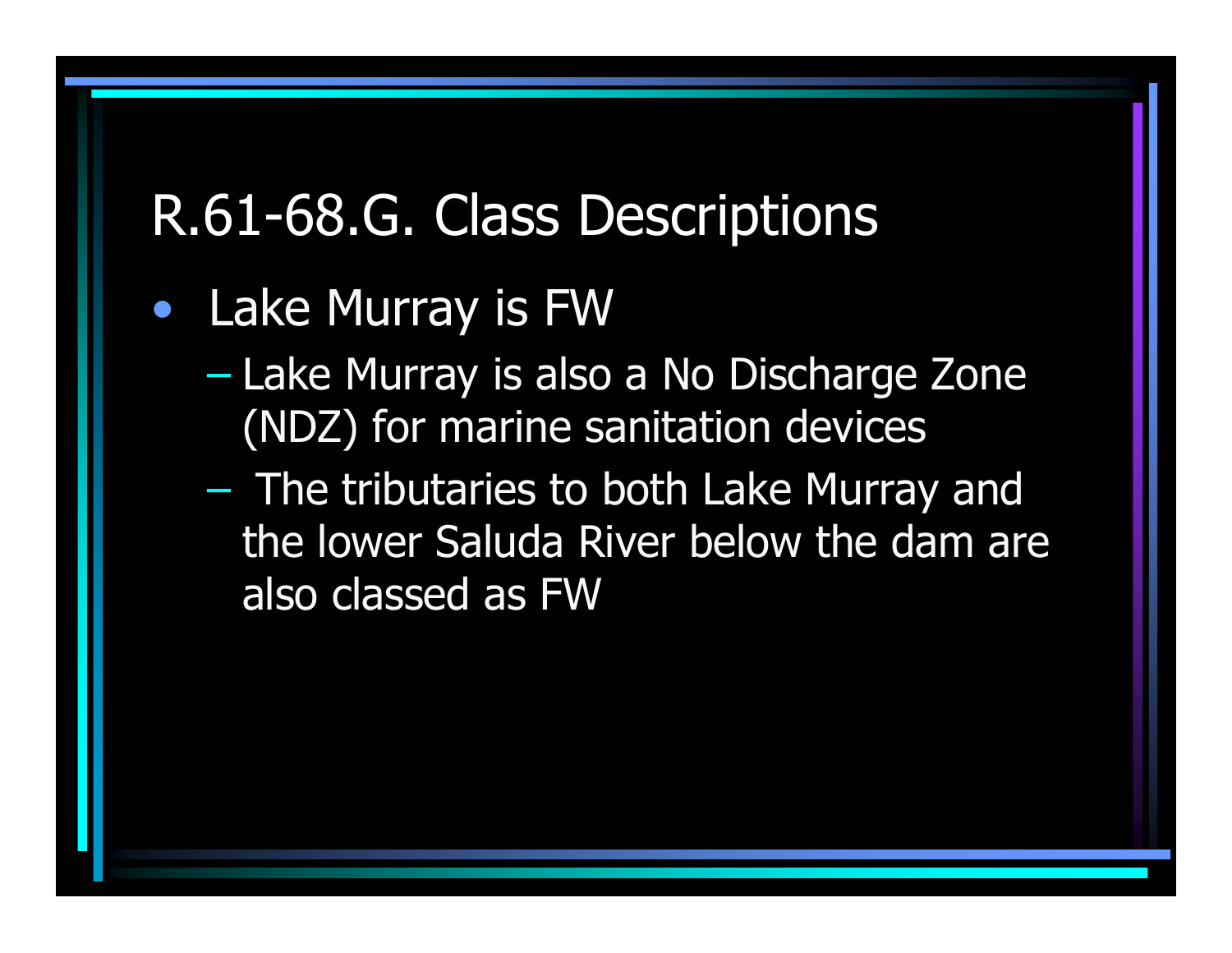#### •Lake Murray is FW

- – Lake Murray is also a No Discharge Zone (NDZ) for marine sanitation devices
- – The tributaries to both Lake Murray and the lower Saluda River below the dam are also classed as FW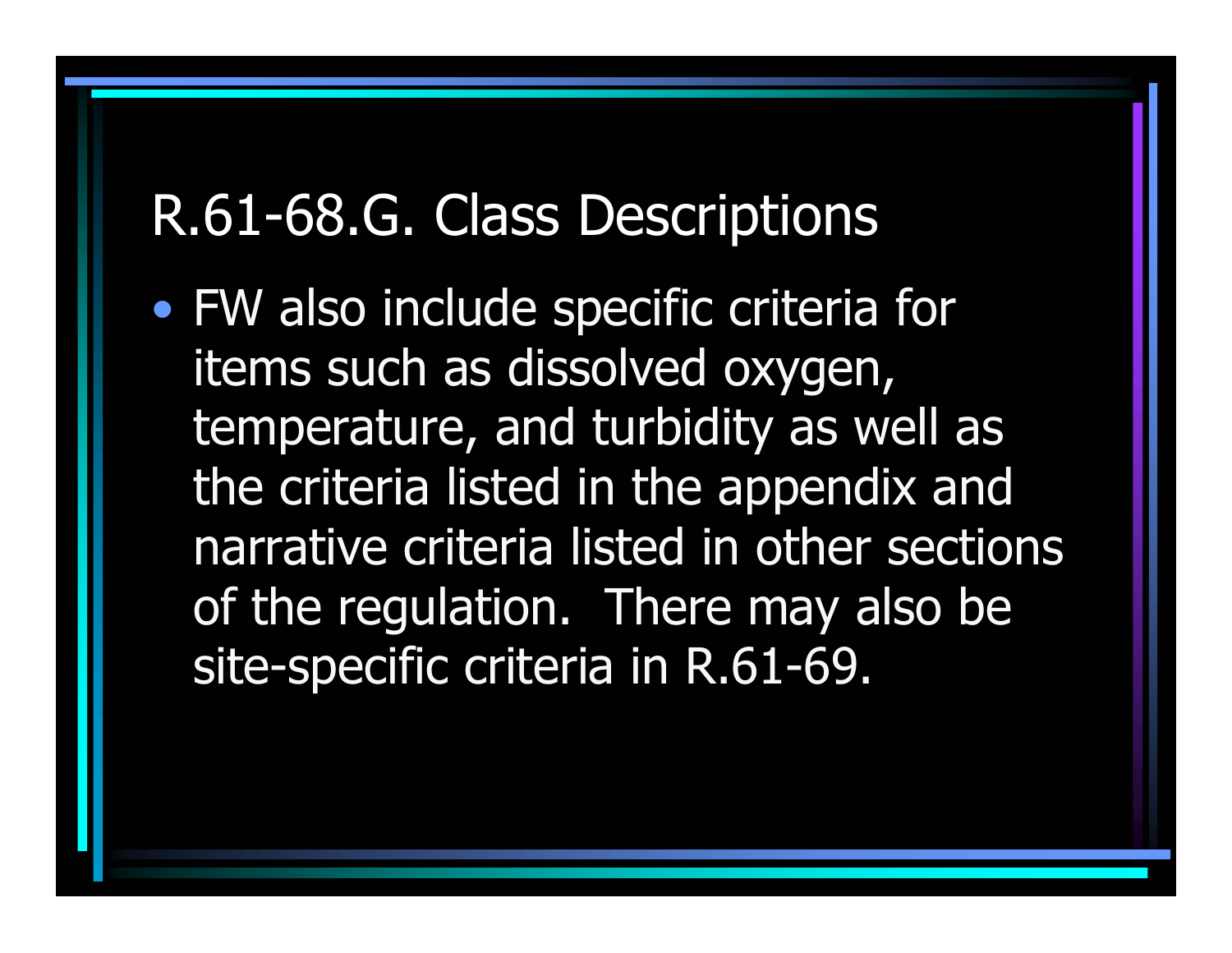• FW also include specific criteria for items such as dissolved oxygen, temperature, and turbidity as well as the criteria listed in the appendix and narrative criteria listed in other sections of the regulation. There may also be site-specific criteria in R.61-69.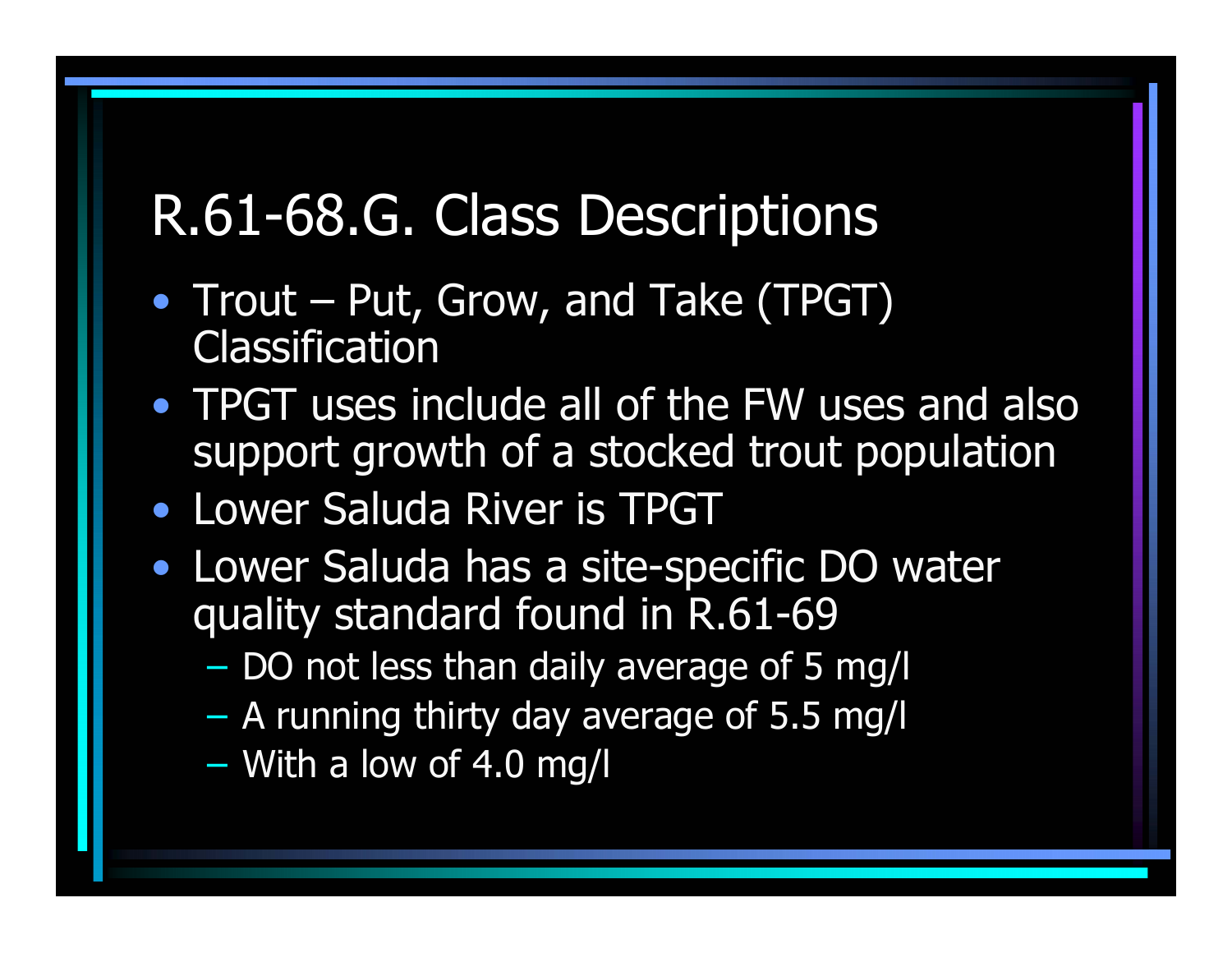- Trout Put, Grow, and Take (TPGT) **Classification**
- TPGT uses include all of the FW uses and also support growth of a stocked trout population
- Lower Saluda River is TPGT
- Lower Saluda has a site-specific DO water quality standard found in R.61-69
	- DO not less than daily average of 5 mg/l
	- $\mathcal{L}_{\mathcal{A}}$ A running thirty day average of 5.5 mg/l
	- $\mathcal{L}_{\mathcal{A}}$ With a low of 4.0 mg/l